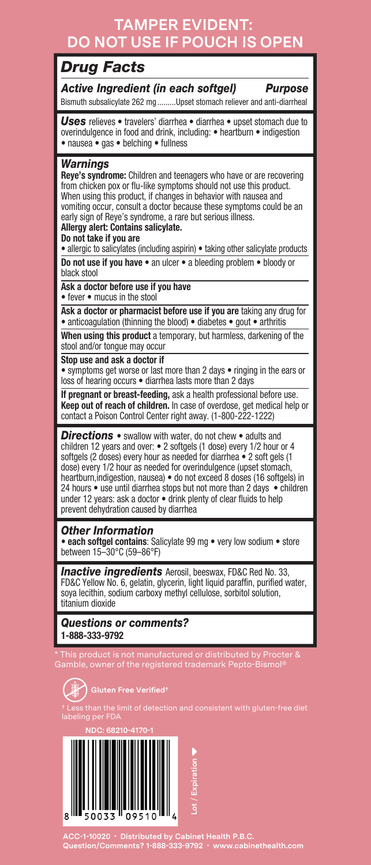## **TAMPER EVIDENT: DO NOT USE IF POUCH IS OPEN**

### *Drug Facts*

*Active Ingredient (in each softgel) Purpose* Bismuth subsalicylate 262 mg .........Upset stomach reliever and anti-diarrheal

*Uses* relieves • travelers' diarrhea • diarrhea • upset stomach due to overindulgence in food and drink, including: • heartburn • indigestion • nausea • gas • belching • fullness

#### *Warnings*

**Reye's syndrome:** Children and teenagers who have or are recovering from chicken pox or flu-like symptoms should not use this product. When using this product, if changes in behavior with nausea and vomiting occur, consult a doctor because these symptoms could be an early sign of Reye's syndrome, a rare but serious illness.

#### **Allergy alert: Contains salicylate.**

#### **Do not take if you are**

• allergic to salicylates (including aspirin) • taking other salicylate products

**Do not use if you have** • an ulcer • a bleeding problem • bloody or black stool

**Ask a doctor before use if you have**  • fever • mucus in the stool

**Ask a doctor or pharmacist before use if you are** taking any drug for • anticoagulation (thinning the blood) • diabetes • gout • arthritis

**When using this product** a temporary, but harmless, darkening of the stool and/or tongue may occur

**Stop use and ask a doctor if** 

• symptoms get worse or last more than 2 days • ringing in the ears or loss of hearing occurs • diarrhea lasts more than 2 days

**If pregnant or breast-feeding,** ask a health professional before use. **Keep out of reach of children.** In case of overdose, get medical help or contact a Poison Control Center right away. (1-800-222-1222)

*Directions* • swallow with water, do not chew • adults and children 12 years and over: • 2 softgels (1 dose) every 1/2 hour or 4 softgels (2 doses) every hour as needed for diarrhea · 2 soft gels (1 dose) every 1/2 hour as needed for overindulgence (upset stomach, heartburn,indigestion, nausea) • do not exceed 8 doses (16 softgels) in 24 hours • use until diarrhea stops but not more than 2 days • children under 12 years: ask a doctor • drink plenty of clear fluids to help prevent dehydration caused by diarrhea

#### *Other Information*

• **each softgel contains**: Salicylate 99 mg • very low sodium • store between 15–30°C (59–86°F)

*Inactive ingredients* Aerosil, beeswax, FD&C Red No. 33, FD&C Yellow No. 6, gelatin, glycerin, light liquid paraffin, purified water, soya lecithin, sodium carboxy methyl cellulose, sorbitol solution, titanium dioxide

*Questions or comments?*  **1-888-333-9792**

Gamble, owner of the registered trademark Pepto-Bismol®





**ACC-1-10020 • Distributed by Cabinet Health P.B.C. Question/Comments? 1-888-333-9792 • www.cabinethealth.com**